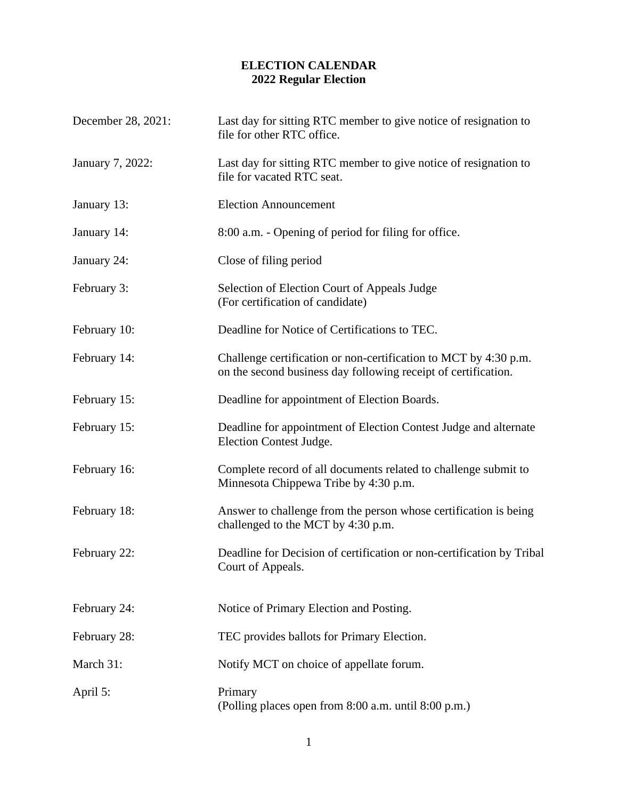## **ELECTION CALENDAR 2022 Regular Election**

| December 28, 2021: | Last day for sitting RTC member to give notice of resignation to<br>file for other RTC office.                                     |
|--------------------|------------------------------------------------------------------------------------------------------------------------------------|
| January 7, 2022:   | Last day for sitting RTC member to give notice of resignation to<br>file for vacated RTC seat.                                     |
| January 13:        | <b>Election Announcement</b>                                                                                                       |
| January 14:        | 8:00 a.m. - Opening of period for filing for office.                                                                               |
| January 24:        | Close of filing period                                                                                                             |
| February 3:        | Selection of Election Court of Appeals Judge<br>(For certification of candidate)                                                   |
| February 10:       | Deadline for Notice of Certifications to TEC.                                                                                      |
| February 14:       | Challenge certification or non-certification to MCT by 4:30 p.m.<br>on the second business day following receipt of certification. |
| February 15:       | Deadline for appointment of Election Boards.                                                                                       |
| February 15:       | Deadline for appointment of Election Contest Judge and alternate<br>Election Contest Judge.                                        |
| February 16:       | Complete record of all documents related to challenge submit to<br>Minnesota Chippewa Tribe by 4:30 p.m.                           |
| February 18:       | Answer to challenge from the person whose certification is being<br>challenged to the MCT by 4:30 p.m.                             |
| February 22:       | Deadline for Decision of certification or non-certification by Tribal<br>Court of Appeals.                                         |
| February 24:       | Notice of Primary Election and Posting.                                                                                            |
| February 28:       | TEC provides ballots for Primary Election.                                                                                         |
| March 31:          | Notify MCT on choice of appellate forum.                                                                                           |
| April 5:           | Primary<br>(Polling places open from 8:00 a.m. until 8:00 p.m.)                                                                    |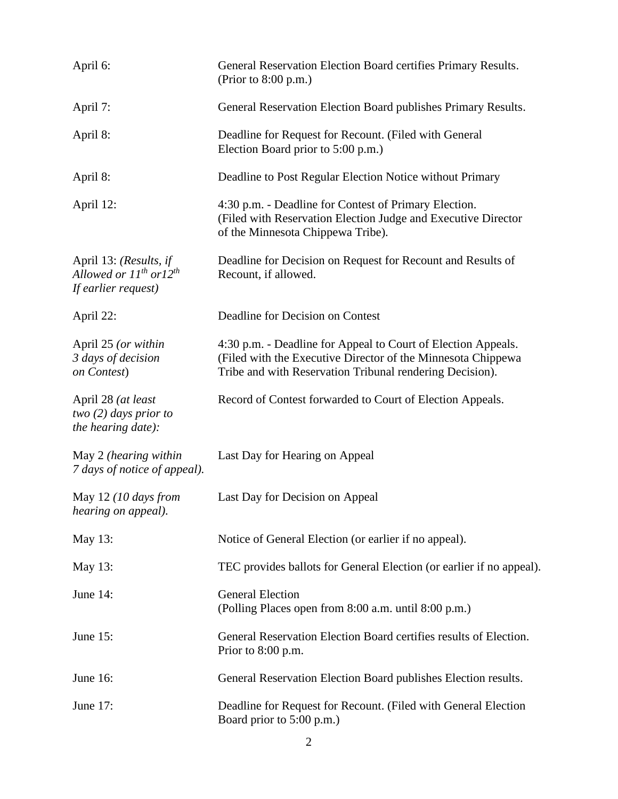| April 6:                                                                                        | General Reservation Election Board certifies Primary Results.<br>(Prior to $8:00$ p.m.)                                                                                                   |
|-------------------------------------------------------------------------------------------------|-------------------------------------------------------------------------------------------------------------------------------------------------------------------------------------------|
| April 7:                                                                                        | General Reservation Election Board publishes Primary Results.                                                                                                                             |
| April 8:                                                                                        | Deadline for Request for Recount. (Filed with General<br>Election Board prior to 5:00 p.m.)                                                                                               |
| April 8:                                                                                        | Deadline to Post Regular Election Notice without Primary                                                                                                                                  |
| April 12:                                                                                       | 4:30 p.m. - Deadline for Contest of Primary Election.<br>(Filed with Reservation Election Judge and Executive Director<br>of the Minnesota Chippewa Tribe).                               |
| April 13: (Results, if<br>Allowed or 11 <sup>th</sup> or12 <sup>th</sup><br>If earlier request) | Deadline for Decision on Request for Recount and Results of<br>Recount, if allowed.                                                                                                       |
| April 22:                                                                                       | Deadline for Decision on Contest                                                                                                                                                          |
| April 25 (or within<br>3 days of decision<br>on Contest)                                        | 4:30 p.m. - Deadline for Appeal to Court of Election Appeals.<br>(Filed with the Executive Director of the Minnesota Chippewa<br>Tribe and with Reservation Tribunal rendering Decision). |
| April 28 (at least<br>two $(2)$ days prior to<br>the hearing date):                             | Record of Contest forwarded to Court of Election Appeals.                                                                                                                                 |
| May 2 (hearing within<br>7 days of notice of appeal).                                           | Last Day for Hearing on Appeal                                                                                                                                                            |
| May 12 (10 days from<br>hearing on appeal).                                                     | Last Day for Decision on Appeal                                                                                                                                                           |
| May 13:                                                                                         | Notice of General Election (or earlier if no appeal).                                                                                                                                     |
| May 13:                                                                                         | TEC provides ballots for General Election (or earlier if no appeal).                                                                                                                      |
| June 14:                                                                                        | <b>General Election</b><br>(Polling Places open from 8:00 a.m. until 8:00 p.m.)                                                                                                           |
| June 15:                                                                                        | General Reservation Election Board certifies results of Election.<br>Prior to 8:00 p.m.                                                                                                   |
| June 16:                                                                                        | General Reservation Election Board publishes Election results.                                                                                                                            |
| June 17:                                                                                        | Deadline for Request for Recount. (Filed with General Election<br>Board prior to 5:00 p.m.)                                                                                               |